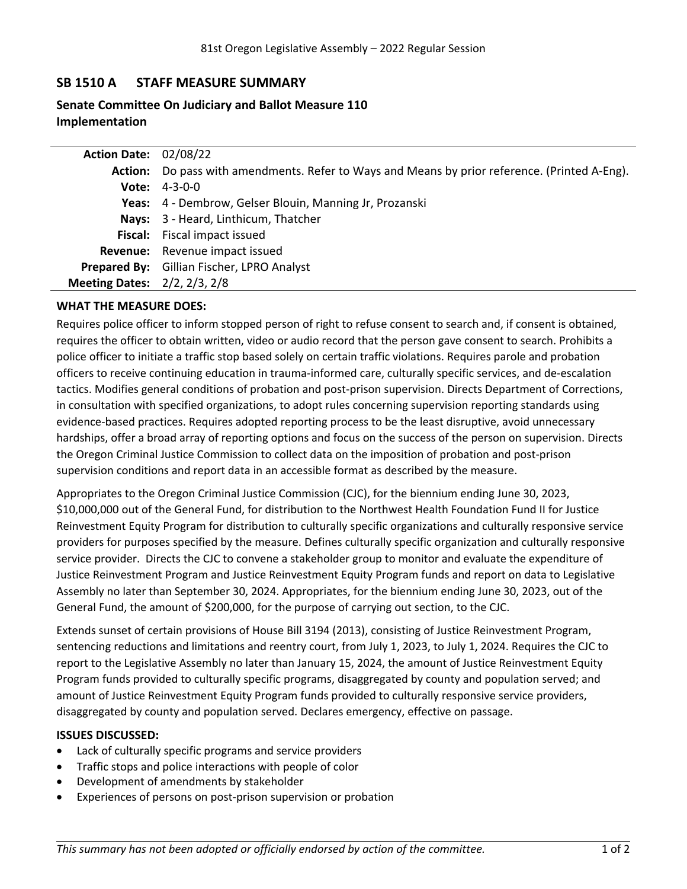# **SB 1510 A STAFF MEASURE SUMMARY**

# **Senate Committee On Judiciary and Ballot Measure 110 Implementation**

| <b>Action Date: 02/08/22</b>        |                                                                                               |
|-------------------------------------|-----------------------------------------------------------------------------------------------|
|                                     | Action: Do pass with amendments. Refer to Ways and Means by prior reference. (Printed A-Eng). |
|                                     | <b>Vote:</b> $4-3-0-0$                                                                        |
|                                     | Yeas: 4 - Dembrow, Gelser Blouin, Manning Jr, Prozanski                                       |
|                                     | Nays: 3 - Heard, Linthicum, Thatcher                                                          |
|                                     | <b>Fiscal:</b> Fiscal impact issued                                                           |
|                                     | <b>Revenue:</b> Revenue impact issued                                                         |
|                                     | Prepared By: Gillian Fischer, LPRO Analyst                                                    |
| <b>Meeting Dates: 2/2, 2/3, 2/8</b> |                                                                                               |

## **WHAT THE MEASURE DOES:**

Requires police officer to inform stopped person of right to refuse consent to search and, if consent is obtained, requires the officer to obtain written, video or audio record that the person gave consent to search. Prohibits <sup>a</sup> police officer to initiate <sup>a</sup> traffic stop based solely on certain traffic violations. Requires parole and probation officers to receive continuing education in trauma-informed care, culturally specific services, and de-escalation tactics. Modifies general conditions of probation and post-prison supervision. Directs Department of Corrections, in consultation with specified organizations, to adopt rules concerning supervision reporting standards using evidence-based practices. Requires adopted reporting process to be the least disruptive, avoid unnecessary hardships, offer <sup>a</sup> broad array of reporting options and focus on the success of the person on supervision. Directs the Oregon Criminal Justice Commission to collect data on the imposition of probation and post-prison supervision conditions and report data in an accessible format as described by the measure.

Appropriates to the Oregon Criminal Justice Commission (CJC), for the biennium ending June 30, 2023, \$10,000,000 out of the General Fund, for distribution to the Northwest Health Foundation Fund II for Justice Reinvestment Equity Program for distribution to culturally specific organizations and culturally responsive service providers for purposes specified by the measure. Defines culturally specific organization and culturally responsive service provider. Directs the CJC to convene <sup>a</sup> stakeholder group to monitor and evaluate the expenditure of Justice Reinvestment Program and Justice Reinvestment Equity Program funds and report on data to Legislative Assembly no later than September 30, 2024. Appropriates, for the biennium ending June 30, 2023, out of the General Fund, the amount of \$200,000, for the purpose of carrying out section, to the CJC.

Extends sunset of certain provisions of House Bill 3194 (2013), consisting of Justice Reinvestment Program, sentencing reductions and limitations and reentry court, from July 1, 2023, to July 1, 2024. Requires the CJC to report to the Legislative Assembly no later than January 15, 2024, the amount of Justice Reinvestment Equity Program funds provided to culturally specific programs, disaggregated by county and population served; and amount of Justice Reinvestment Equity Program funds provided to culturally responsive service providers, disaggregated by county and population served. Declares emergency, effective on passage.

#### **ISSUES DISCUSSED:**

- . Lack of culturally specific programs and service providers
- . Traffic stops and police interactions with people of color
- . Development of amendments by stakeholder
- . Experiences of persons on post-prison supervision or probation